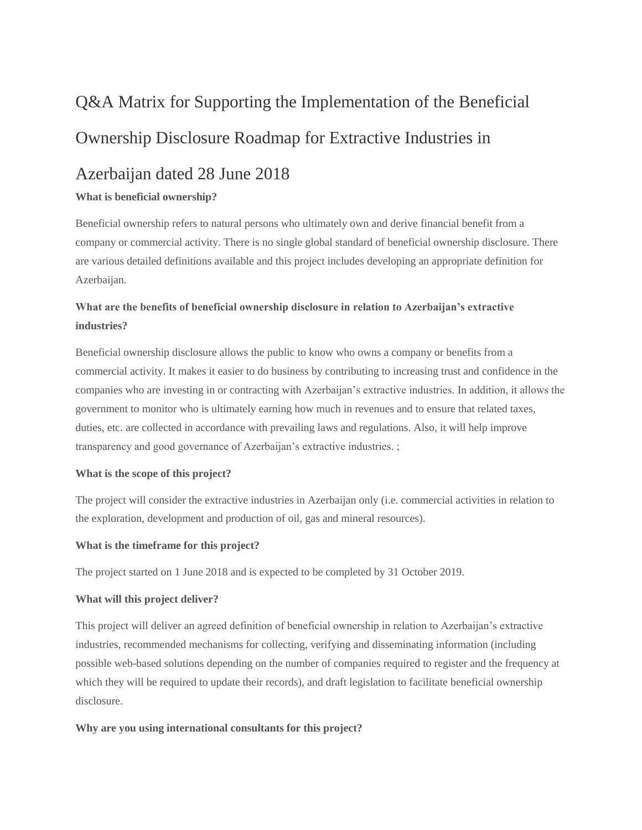# Q&A Matrix for Supporting the Implementation of the Beneficial Ownership Disclosure Roadmap for Extractive Industries in

# Azerbaijan dated 28 June 2018

#### **What is beneficial ownership?**

Beneficial ownership refers to natural persons who ultimately own and derive financial benefit from a company or commercial activity. There is no single global standard of beneficial ownership disclosure. There are various detailed definitions available and this project includes developing an appropriate definition for Azerbaijan.

## **What are the benefits of beneficial ownership disclosure in relation to Azerbaijan's extractive industries?**

Beneficial ownership disclosure allows the public to know who owns a company or benefits from a commercial activity. It makes it easier to do business by contributing to increasing trust and confidence in the companies who are investing in or contracting with Azerbaijan's extractive industries. In addition, it allows the government to monitor who is ultimately earning how much in revenues and to ensure that related taxes, duties, etc. are collected in accordance with prevailing laws and regulations. Also, it will help improve transparency and good governance of Azerbaijan's extractive industries. ;

#### **What is the scope of this project?**

The project will consider the extractive industries in Azerbaijan only (i.e. commercial activities in relation to the exploration, development and production of oil, gas and mineral resources).

#### **What is the timeframe for this project?**

The project started on 1 June 2018 and is expected to be completed by 31 October 2019.

#### **What will this project deliver?**

This project will deliver an agreed definition of beneficial ownership in relation to Azerbaijan's extractive industries, recommended mechanisms for collecting, verifying and disseminating information (including possible web-based solutions depending on the number of companies required to register and the frequency at which they will be required to update their records), and draft legislation to facilitate beneficial ownership disclosure.

#### **Why are you using international consultants for this project?**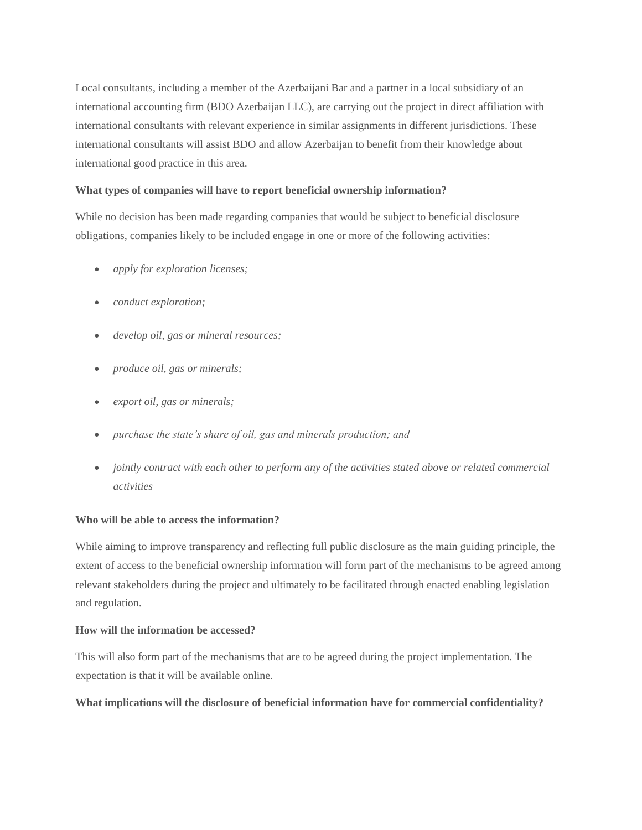Local consultants, including a member of the Azerbaijani Bar and a partner in a local subsidiary of an international accounting firm (BDO Azerbaijan LLC), are carrying out the project in direct affiliation with international consultants with relevant experience in similar assignments in different jurisdictions. These international consultants will assist BDO and allow Azerbaijan to benefit from their knowledge about international good practice in this area.

#### **What types of companies will have to report beneficial ownership information?**

While no decision has been made regarding companies that would be subject to beneficial disclosure obligations, companies likely to be included engage in one or more of the following activities:

- *apply for exploration licenses;*
- *conduct exploration;*
- *develop oil, gas or mineral resources;*
- *produce oil, gas or minerals;*
- *export oil, gas or minerals;*
- *purchase the state's share of oil, gas and minerals production; and*
- *jointly contract with each other to perform any of the activities stated above or related commercial activities*

#### **Who will be able to access the information?**

While aiming to improve transparency and reflecting full public disclosure as the main guiding principle, the extent of access to the beneficial ownership information will form part of the mechanisms to be agreed among relevant stakeholders during the project and ultimately to be facilitated through enacted enabling legislation and regulation.

#### **How will the information be accessed?**

This will also form part of the mechanisms that are to be agreed during the project implementation. The expectation is that it will be available online.

#### **What implications will the disclosure of beneficial information have for commercial confidentiality?**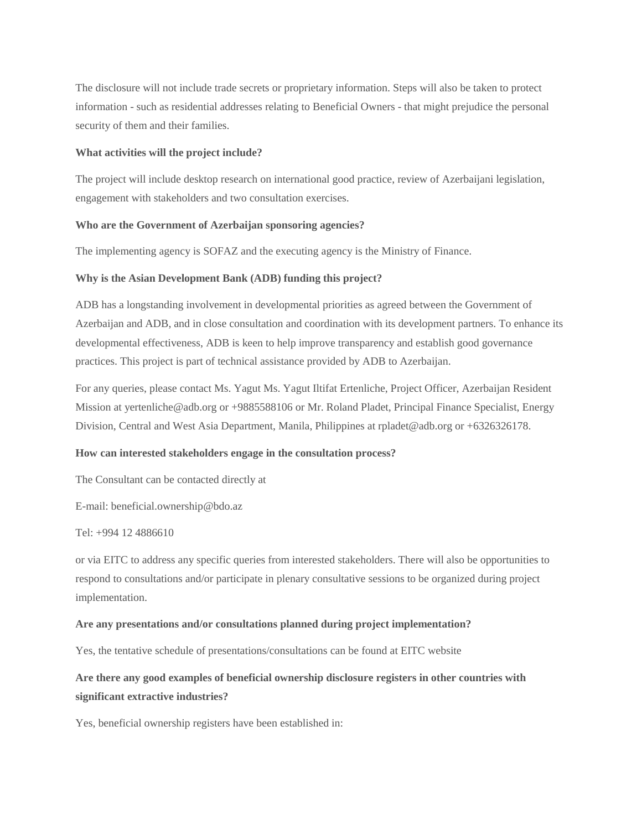The disclosure will not include trade secrets or proprietary information. Steps will also be taken to protect information - such as residential addresses relating to Beneficial Owners - that might prejudice the personal security of them and their families.

#### **What activities will the project include?**

The project will include desktop research on international good practice, review of Azerbaijani legislation, engagement with stakeholders and two consultation exercises.

#### **Who are the Government of Azerbaijan sponsoring agencies?**

The implementing agency is SOFAZ and the executing agency is the Ministry of Finance.

#### **Why is the Asian Development Bank (ADB) funding this project?**

ADB has a longstanding involvement in developmental priorities as agreed between the Government of Azerbaijan and ADB, and in close consultation and coordination with its development partners. To enhance its developmental effectiveness, ADB is keen to help improve transparency and establish good governance practices. This project is part of technical assistance provided by ADB to Azerbaijan.

For any queries, please contact Ms. Yagut Ms. Yagut Iltifat Ertenliche, Project Officer, Azerbaijan Resident Mission at yertenliche@adb.org or +9885588106 or Mr. Roland Pladet, Principal Finance Specialist, Energy Division, Central and West Asia Department, Manila, Philippines at rpladet@adb.org or +6326326178.

#### **How can interested stakeholders engage in the consultation process?**

The Consultant can be contacted directly at

E-mail: beneficial.ownership@bdo.az

#### Tel: +994 12 4886610

or via EITC to address any specific queries from interested stakeholders. There will also be opportunities to respond to consultations and/or participate in plenary consultative sessions to be organized during project implementation.

#### **Are any presentations and/or consultations planned during project implementation?**

Yes, the tentative schedule of presentations/consultations can be found at EITC website

## **Are there any good examples of beneficial ownership disclosure registers in other countries with significant extractive industries?**

Yes, beneficial ownership registers have been established in: